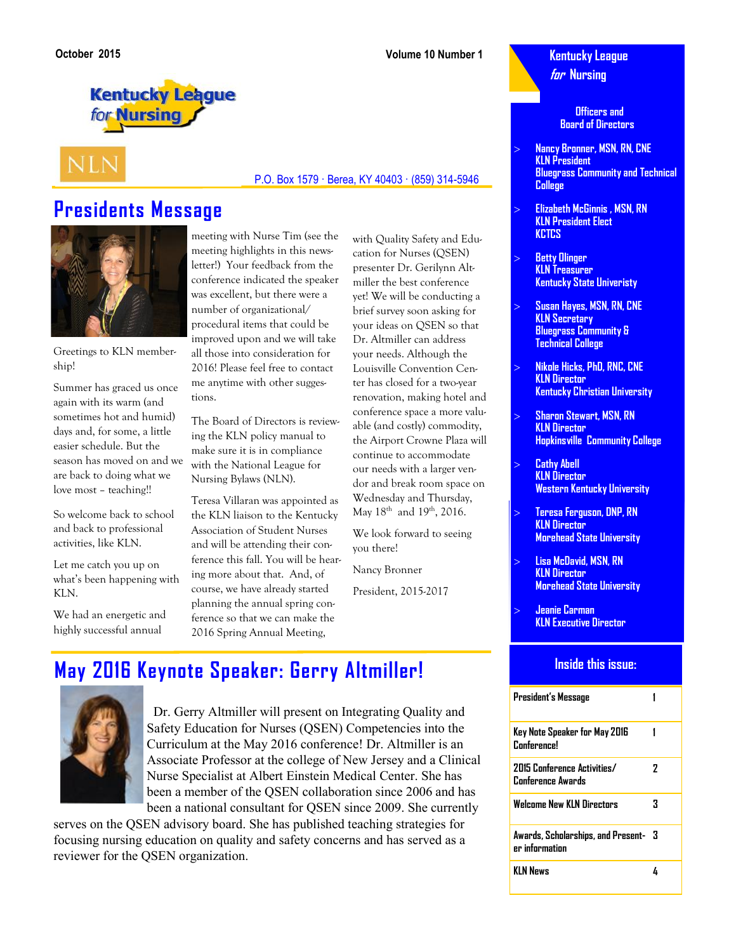#### **October 2015 Volume 10 Number 1**

#### **Kentucky League for Nursing**

 **Officers and Board of Directors**

- **Nancy Bronner, MSN, RN, CNE KLN President Bluegrass Community and Technical College**
- **Elizabeth McGinnis , MSN, RN KLN President Elect KCTCS**
- **Betty Olinger KLN Treasurer Kentucky State Univeristy**
- **Susan Hayes, MSN, RN, CNE KLN Secretary Bluegrass Community & Technical College**
- **Nikole Hicks, PhD, RNC, CNE KLN Director Kentucky Christian University**
- **Sharon Stewart, MSN, RN KLN Director Hopkinsville Community College**
- **Cathy Abell KLN Director Western Kentucky University**
- **Teresa Ferguson, DNP, RN KLN Director Morehead State University**
- **Lisa McDavid, MSN, RN KLN Director Morehead State University**
- **Jeanie Carman KLN Executive Director**

#### **Inside this issue:**

| President's Message                                    |   |
|--------------------------------------------------------|---|
| Key Note Speaker for May 2016<br><b>Conference!</b>    |   |
| 2015 Conference Activities/<br>Conference Awards       | 7 |
| <b>Welcome New KLN Directors</b>                       | 3 |
| Awards, Scholarships, and Present- 3<br>er information |   |
| <b>KIN News</b>                                        | Ŀ |

# **Kentucky League** for **Nursing**

# **Presidents Message**



Greetings to KLN membership!

Summer has graced us once again with its warm (and sometimes hot and humid) days and, for some, a little easier schedule. But the season has moved on and we are back to doing what we love most – teaching!!

So welcome back to school and back to professional activities, like KLN.

Let me catch you up on what's been happening with KLN.

We had an energetic and highly successful annual

meeting with Nurse Tim (see the meeting highlights in this newsletter!) Your feedback from the conference indicated the speaker was excellent, but there were a number of organizational/ procedural items that could be improved upon and we will take all those into consideration for 2016! Please feel free to contact me anytime with other suggestions.

The Board of Directors is reviewing the KLN policy manual to make sure it is in compliance with the National League for Nursing Bylaws (NLN).

Teresa Villaran was appointed as the KLN liaison to the Kentucky Association of Student Nurses and will be attending their conference this fall. You will be hearing more about that. And, of course, we have already started planning the annual spring conference so that we can make the 2016 Spring Annual Meeting,

with Quality Safety and Education for Nurses (QSEN) presenter Dr. Gerilynn Altmiller the best conference yet! We will be conducting a brief survey soon asking for your ideas on QSEN so that Dr. Altmiller can address your needs. Although the Louisville Convention Center has closed for a two-year renovation, making hotel and conference space a more valuable (and costly) commodity, the Airport Crowne Plaza will continue to accommodate our needs with a larger vendor and break room space on Wednesday and Thursday, May  $18^{th}$  and  $19^{th}$ , 2016.

P.O. Box 1579 · Berea, KY 40403 · (859) 314-5946

We look forward to seeing you there!

Nancy Bronner

President, 2015-2017

# **May 2016 Keynote Speaker: Gerry Altmiller!**



 Dr. Gerry Altmiller will present on Integrating Quality and Safety Education for Nurses (QSEN) Competencies into the Curriculum at the May 2016 conference! Dr. Altmiller is an Associate Professor at the college of New Jersey and a Clinical Nurse Specialist at Albert Einstein Medical Center. She has been a member of the QSEN collaboration since 2006 and has been a national consultant for QSEN since 2009. She currently

serves on the QSEN advisory board. She has published teaching strategies for focusing nursing education on quality and safety concerns and has served as a reviewer for the QSEN organization.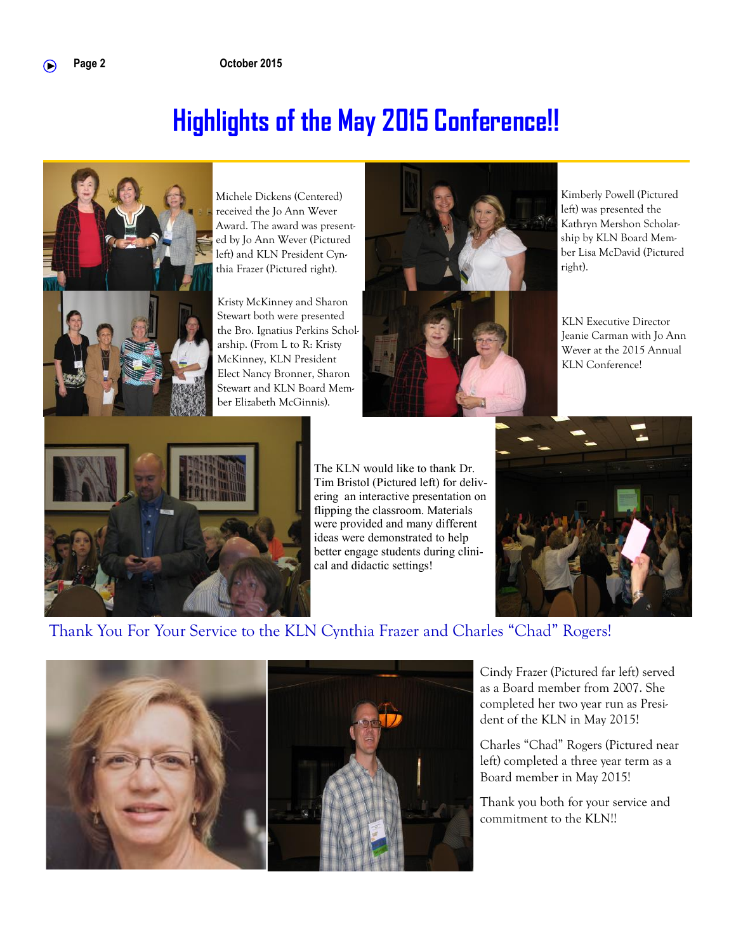# **Highlights of the May 2015 Conference!!**



Michele Dickens (Centered) received the Jo Ann Wever Award. The award was presented by Jo Ann Wever (Pictured left) and KLN President Cynthia Frazer (Pictured right).

Kristy McKinney and Sharon Stewart both were presented the Bro. Ignatius Perkins Scholarship. (From L to R: Kristy McKinney, KLN President Elect Nancy Bronner, Sharon Stewart and KLN Board Member Elizabeth McGinnis).



Kimberly Powell (Pictured left) was presented the Kathryn Mershon Scholarship by KLN Board Member Lisa McDavid (Pictured right).

KLN Executive Director Jeanie Carman with Jo Ann Wever at the 2015 Annual KLN Conference!



The KLN would like to thank Dr. Tim Bristol (Pictured left) for delivering an interactive presentation on flipping the classroom. Materials were provided and many different ideas were demonstrated to help better engage students during clinical and didactic settings!



### Thank You For Your Service to the KLN Cynthia Frazer and Charles "Chad" Rogers!



Cindy Frazer (Pictured far left) served as a Board member from 2007. She completed her two year run as President of the KLN in May 2015!

Charles "Chad" Rogers (Pictured near left) completed a three year term as a Board member in May 2015!

Thank you both for your service and commitment to the KLN!!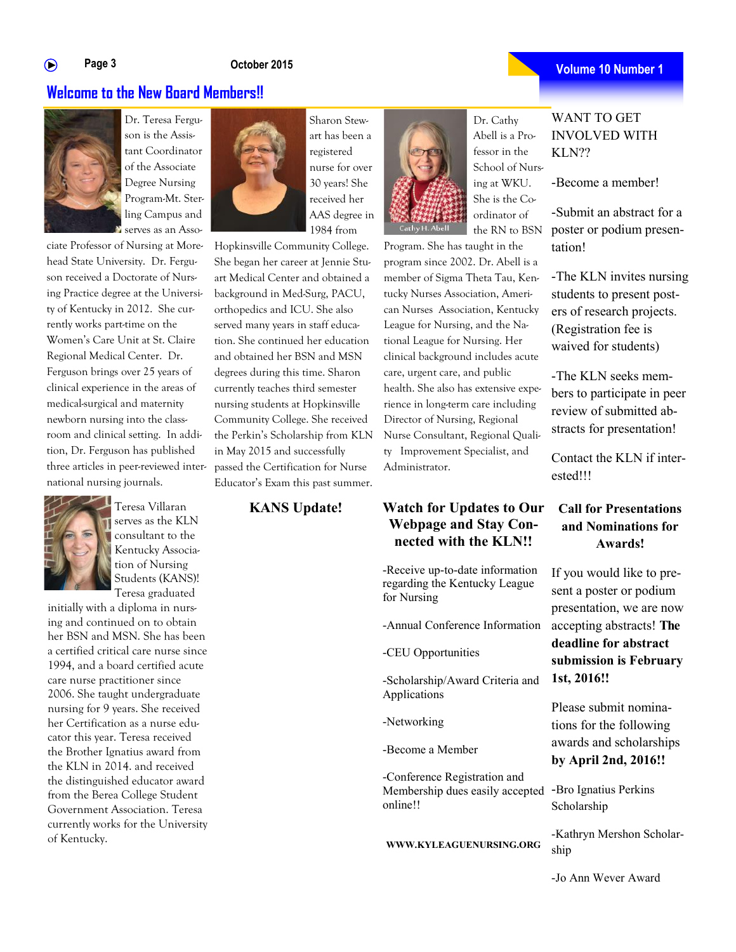#### **Page 3** ∩

#### **October 2015**

#### **Welcome to the New Board Members!!**



ciate Professor of Nursing at Morehead State University. Dr. Ferguson received a Doctorate of Nursing Practice degree at the University of Kentucky in 2012. She currently works part-time on the Women's Care Unit at St. Claire Regional Medical Center. Dr. Ferguson brings over 25 years of clinical experience in the areas of medical-surgical and maternity newborn nursing into the classroom and clinical setting. In addition, Dr. Ferguson has published three articles in peer-reviewed international nursing journals.



serves as the KLN consultant to the Kentucky Association of Nursing Students (KANS)! Teresa graduated

initially with a diploma in nursing and continued on to obtain her BSN and MSN. She has been a certified critical care nurse since 1994, and a board certified acute care nurse practitioner since 2006. She taught undergraduate nursing for 9 years. She received her Certification as a nurse educator this year. Teresa received the Brother Ignatius award from the KLN in 2014. and received the distinguished educator award from the Berea College Student Government Association. Teresa currently works for the University of Kentucky.



Sharon Stewart has been a registered nurse for over 30 years! She received her AAS degree in 1984 from

Hopkinsville Community College. She began her career at Jennie Stuart Medical Center and obtained a background in Med-Surg, PACU, orthopedics and ICU. She also served many years in staff education. She continued her education and obtained her BSN and MSN degrees during this time. Sharon currently teaches third semester nursing students at Hopkinsville Community College. She received the Perkin's Scholarship from KLN in May 2015 and successfully passed the Certification for Nurse Educator's Exam this past summer.

Teresa Villaran **KANS Update!**



Dr. Cathy Abell is a Professor in the School of Nursing at WKU. She is the Coordinator of the RN to BSN

Program. She has taught in the program since 2002. Dr. Abell is a member of Sigma Theta Tau, Kentucky Nurses Association, American Nurses Association, Kentucky League for Nursing, and the National League for Nursing. Her clinical background includes acute care, urgent care, and public health. She also has extensive experience in long-term care including Director of Nursing, Regional Nurse Consultant, Regional Quality Improvement Specialist, and Administrator.

#### **Watch for Updates to Our Webpage and Stay Connected with the KLN!!**

-Receive up-to-date information regarding the Kentucky League for Nursing

-Annual Conference Information

-CEU Opportunities

-Scholarship/Award Criteria and Applications

-Networking

-Become a Member

-Conference Registration and Membership dues easily accepted -Bro Ignatius Perkins online!!

**WWW.KYLEAGUENURSING.ORG**

WANT TO GET INVOLVED WITH KLN??

-Become a member!

-Submit an abstract for a poster or podium presentation!

-The KLN invites nursing students to present posters of research projects. (Registration fee is waived for students)

-The KLN seeks members to participate in peer review of submitted abstracts for presentation!

Contact the KLN if interested!!!

#### **Call for Presentations and Nominations for Awards!**

If you would like to present a poster or podium presentation, we are now accepting abstracts! **The deadline for abstract submission is February 1st, 2016!!**

Please submit nominations for the following awards and scholarships **by April 2nd, 2016!!**

Scholarship

-Kathryn Mershon Scholarship

-Jo Ann Wever Award